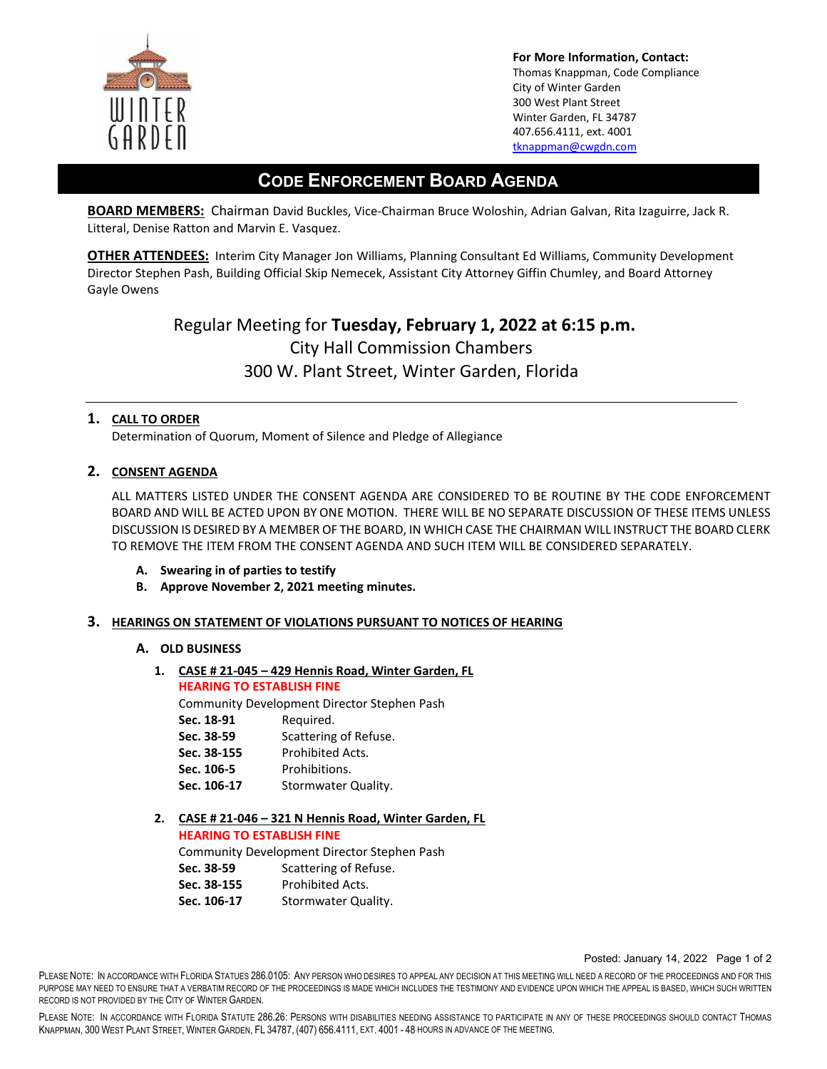

**For More Information, Contact:**  Thomas Knappman, Code Compliance City of Winter Garden 300 West Plant Street Winter Garden, FL 34787 407.656.4111, ext. 4001 [tknappman@cwgdn.com](mailto:tknappman@cwgdn.com) 

# **CODE ENFORCEMENT BOARD AGENDA**

**BOARD MEMBERS:** Chairman David Buckles, Vice-Chairman Bruce Woloshin, Adrian Galvan, Rita Izaguirre, Jack R. Litteral, Denise Ratton and Marvin E. Vasquez.

**OTHER ATTENDEES:** Interim City Manager Jon Williams, Planning Consultant Ed Williams, Community Development Director Stephen Pash, Building Official Skip Nemecek, Assistant City Attorney Giffin Chumley, and Board Attorney Gayle Owens

> Regular Meeting for **Tuesday, February 1, 2022 at 6:15 p.m.**  City Hall Commission Chambers 300 W. Plant Street, Winter Garden, Florida

## **1. CALL TO ORDER**

Determination of Quorum, Moment of Silence and Pledge of Allegiance

## **2. CONSENT AGENDA**

ALL MATTERS LISTED UNDER THE CONSENT AGENDA ARE CONSIDERED TO BE ROUTINE BY THE CODE ENFORCEMENT BOARD AND WILL BE ACTED UPON BY ONE MOTION. THERE WILL BE NO SEPARATE DISCUSSION OF THESE ITEMS UNLESS DISCUSSION IS DESIRED BY A MEMBER OF THE BOARD, IN WHICH CASE THE CHAIRMAN WILL INSTRUCT THE BOARD CLERK TO REMOVE THE ITEM FROM THE CONSENT AGENDA AND SUCH ITEM WILL BE CONSIDERED SEPARATELY.

- **A. Swearing in of parties to testify**
- **B. Approve November 2, 2021 meeting minutes.**

#### **3. HEARINGS ON STATEMENT OF VIOLATIONS PURSUANT TO NOTICES OF HEARING**

#### **A. OLD BUSINESS**

**1. CASE # 21-045 – 429 Hennis Road, Winter Garden, FL HEARING TO ESTABLISH FINE** 

Community Development Director Stephen Pash Sec. 18-91 Required. **Sec. 38-59** Scattering of Refuse. **Sec. 38-155** Prohibited Acts. **Sec. 106-5** Prohibitions. Sec. 106-17 Stormwater Quality.

**2. CASE # 21-046 – 321 N Hennis Road, Winter Garden, FL** 

**HEARING TO ESTABLISH FINE**  Community Development Director Stephen Pash **Sec. 38-59** Scattering of Refuse. **Sec. 38-155** Prohibited Acts. Sec. 106-17 Stormwater Quality.

Posted: January 14, 2022 Page 1 of 2

PLEASE NOTE: IN ACCORDANCE WITH FLORIDA STATUES 286.0105: ANY PERSON WHO DESIRES TO APPEAL ANY DECISION AT THIS MEETING WILL NEED A RECORD OF THE PROCEEDINGS AND FOR THIS PURPOSE MAY NEED TO ENSURE THAT A VERBATIM RECORD OF THE PROCEEDINGS IS MADE WHICH INCLUDES THE TESTIMONY AND EVIDENCE UPON WHICH THE APPEAL IS BASED, WHICH SUCH WRITTEN RECORD IS NOT PROVIDED BY THE CITY OF WINTER GARDEN.

PLEASE NOTE: IN ACCORDANCE WITH FLORIDA STATUTE 286.26: PERSONS WITH DISABILITIES NEEDING ASSISTANCE TO PARTICIPATE IN ANY OF THESE PROCEEDINGS SHOULD CONTACT THOMAS KNAPPMAN, 300 WEST PLANT STREET, WINTER GARDEN, FL 34787, (407) 656.4111, EXT. 4001 - 48 HOURS IN ADVANCE OF THE MEETING.